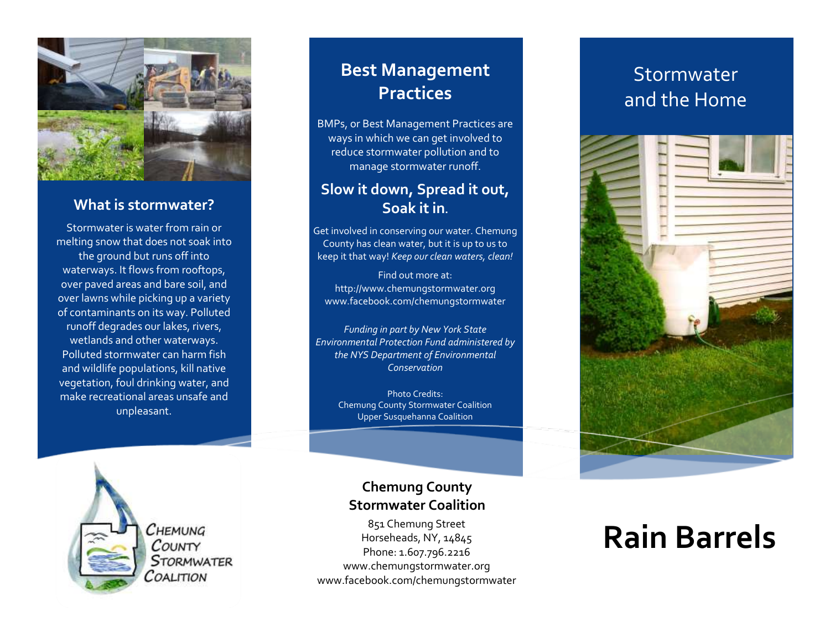

#### **What is stormwater?**

Stormwater is water from rain or melting snow that does not soak into the ground but runs off into waterways. It flows from rooftops, over paved areas and bare soil, and over lawns while picking up a variety of contaminants on its way. Polluted runoff degrades our lakes, rivers, wetlands and other waterways. Polluted stormwater can harm fish and wildlife populations, kill native vegetation, foul drinking water, and make recreational areas unsafe and unpleasant.

### **Best Management Practices**

BMPs, or Best Management Practices are ways in which we can get involved to reduce stormwater pollution and to manage stormwater runoff.

#### **Slow it down, Spread it out, Soak it in.**

Get involved in conserving our water. Chemung County has clean water, but it is up to us to keep it that way! *Keep our clean waters, clean!*

Find out more at: http://www.chemungstormwater.org www.facebook.com/chemungstormwater

*Funding in part by New York State Environmental Protection Fund administered by the NYS Department of Environmental Conservation*

> Photo Credits: Chemung County Stormwater Coalition Upper Susquehanna Coalition



Снемима COUNTY STORMWATER COALITION

#### **Chemung County Stormwater Coalition**

851 Chemung Street Horseheads, NY, 14845 Phone: 1.607.796.2216 www.chemungstormwater.org www.facebook.com/chemungstormwater

## Stormwater and the Home



## **Rain Barrels**